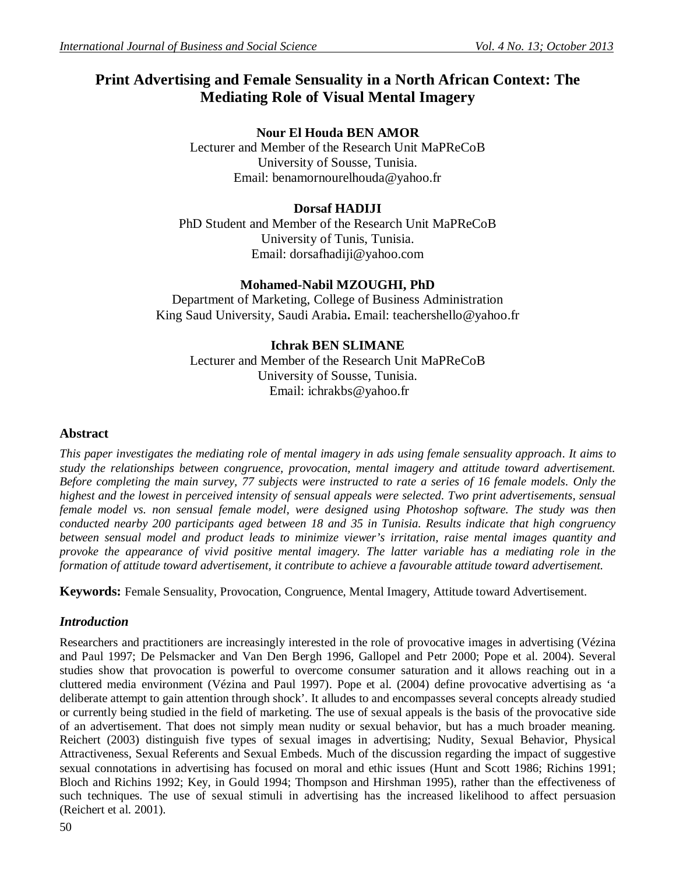# **Print Advertising and Female Sensuality in a North African Context: The Mediating Role of Visual Mental Imagery**

# **Nour El Houda BEN AMOR**

Lecturer and Member of the Research Unit MaPReCoB University of Sousse, Tunisia. Email: benamornourelhouda@yahoo.fr

# **Dorsaf HADIJI**

PhD Student and Member of the Research Unit MaPReCoB University of Tunis, Tunisia. Email: dorsafhadiji@yahoo.com

# **Mohamed-Nabil MZOUGHI, PhD**

Department of Marketing, College of Business Administration King Saud University, Saudi Arabia**.** Email: teachershello@yahoo.fr

# **Ichrak BEN SLIMANE**

Lecturer and Member of the Research Unit MaPReCoB University of Sousse, Tunisia. Email: ichrakbs@yahoo.fr

# **Abstract**

*This paper investigates the mediating role of mental imagery in ads using female sensuality approach. It aims to study the relationships between congruence, provocation, mental imagery and attitude toward advertisement. Before completing the main survey, 77 subjects were instructed to rate a series of 16 female models. Only the highest and the lowest in perceived intensity of sensual appeals were selected. Two print advertisements, sensual female model vs. non sensual female model, were designed using Photoshop software. The study was then conducted nearby 200 participants aged between 18 and 35 in Tunisia. Results indicate that high congruency between sensual model and product leads to minimize viewer's irritation, raise mental images quantity and*  provoke the appearance of vivid positive mental imagery. The latter variable has a mediating role in the *formation of attitude toward advertisement, it contribute to achieve a favourable attitude toward advertisement.*

**Keywords:** Female Sensuality, Provocation, Congruence, Mental Imagery, Attitude toward Advertisement.

# *Introduction*

Researchers and practitioners are increasingly interested in the role of provocative images in advertising (Vézina and Paul 1997; De Pelsmacker and Van Den Bergh 1996, Gallopel and Petr 2000; Pope et al. 2004). Several studies show that provocation is powerful to overcome consumer saturation and it allows reaching out in a cluttered media environment (Vézina and Paul 1997). Pope et al. (2004) define provocative advertising as 'a deliberate attempt to gain attention through shock'. It alludes to and encompasses several concepts already studied or currently being studied in the field of marketing. The use of sexual appeals is the basis of the provocative side of an advertisement. That does not simply mean nudity or sexual behavior, but has a much broader meaning. Reichert (2003) distinguish five types of sexual images in advertising; Nudity, Sexual Behavior, Physical Attractiveness, Sexual Referents and Sexual Embeds. Much of the discussion regarding the impact of suggestive sexual connotations in advertising has focused on moral and ethic issues (Hunt and Scott 1986; Richins 1991; Bloch and Richins 1992; Key, in Gould 1994; Thompson and Hirshman 1995), rather than the effectiveness of such techniques. The use of sexual stimuli in advertising has the increased likelihood to affect persuasion (Reichert et al. 2001).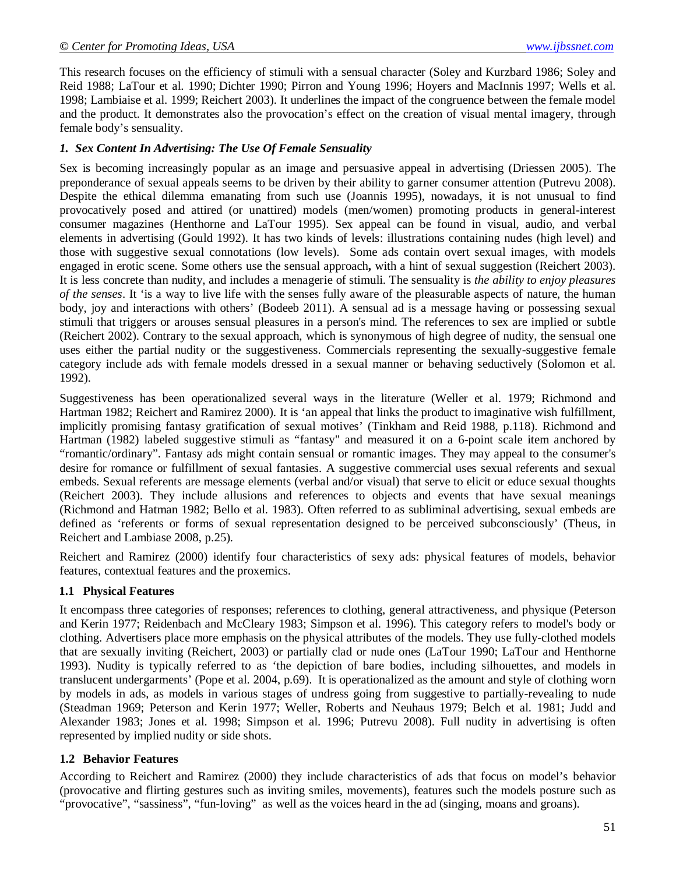This research focuses on the efficiency of stimuli with a sensual character (Soley and Kurzbard 1986; Soley and Reid 1988; LaTour et al. 1990; Dichter 1990; Pirron and Young 1996; Hoyers and MacInnis 1997; Wells et al. 1998; Lambiaise et al. 1999; Reichert 2003). It underlines the impact of the congruence between the female model and the product. It demonstrates also the provocation's effect on the creation of visual mental imagery, through female body's sensuality.

### *1. Sex Content In Advertising: The Use Of Female Sensuality*

Sex is becoming increasingly popular as an image and persuasive appeal in advertising (Driessen 2005). The preponderance of sexual appeals seems to be driven by their ability to garner consumer attention (Putrevu 2008). Despite the ethical dilemma emanating from such use (Joannis 1995), nowadays, it is not unusual to find provocatively posed and attired (or unattired) models (men/women) promoting products in general-interest consumer magazines (Henthorne and LaTour 1995). Sex appeal can be found in visual, audio, and verbal elements in advertising (Gould 1992). It has two kinds of levels: illustrations containing nudes (high level) and those with suggestive sexual connotations (low levels). Some ads contain overt sexual images, with models engaged in erotic scene. Some others use the sensual approach**,** with a hint of sexual suggestion (Reichert 2003). It is less concrete than nudity, and includes a menagerie of stimuli. The sensuality is *the ability to enjoy pleasures of the senses*. It 'is a way to live life with the senses fully aware of the pleasurable aspects of nature, the human body, joy and interactions with others' (Bodeeb 2011). A sensual ad is a message having or possessing sexual stimuli that triggers or arouses sensual pleasures in a person's mind. The references to sex are implied or subtle (Reichert 2002). Contrary to the sexual approach, which is synonymous of high degree of nudity, the sensual one uses either the partial nudity or the suggestiveness. Commercials representing the sexually-suggestive female category include ads with female models dressed in a sexual manner or behaving seductively (Solomon et al. 1992).

Suggestiveness has been operationalized several ways in the literature (Weller et al. 1979; Richmond and Hartman 1982; Reichert and Ramirez 2000). It is 'an appeal that links the product to imaginative wish fulfillment, implicitly promising fantasy gratification of sexual motives' (Tinkham and Reid 1988, p.118). Richmond and Hartman (1982) labeled suggestive stimuli as "fantasy" and measured it on a 6-point scale item anchored by "romantic/ordinary". Fantasy ads might contain sensual or romantic images. They may appeal to the consumer's desire for romance or fulfillment of sexual fantasies. A suggestive commercial uses sexual referents and sexual embeds. Sexual referents are message elements (verbal and/or visual) that serve to elicit or educe sexual thoughts (Reichert 2003). They include allusions and references to objects and events that have sexual meanings (Richmond and Hatman 1982; Bello et al. 1983). Often referred to as subliminal advertising, sexual embeds are defined as 'referents or forms of sexual representation designed to be perceived subconsciously' (Theus, in Reichert and Lambiase 2008, p.25).

Reichert and Ramirez (2000) identify four characteristics of sexy ads: physical features of models, behavior features, contextual features and the proxemics.

### **1.1 Physical Features**

It encompass three categories of responses; references to clothing, general attractiveness, and physique (Peterson and Kerin 1977; Reidenbach and McCleary 1983; Simpson et al. 1996). This category refers to model's body or clothing. Advertisers place more emphasis on the physical attributes of the models. They use fully-clothed models that are sexually inviting (Reichert, 2003) or partially clad or nude ones (LaTour 1990; LaTour and Henthorne 1993). Nudity is typically referred to as 'the depiction of bare bodies, including silhouettes, and models in translucent undergarments' (Pope et al. 2004, p.69). It is operationalized as the amount and style of clothing worn by models in ads, as models in various stages of undress going from suggestive to partially-revealing to nude (Steadman 1969; Peterson and Kerin 1977; Weller, Roberts and Neuhaus 1979; Belch et al. 1981; Judd and Alexander 1983; Jones et al. 1998; Simpson et al. 1996; Putrevu 2008). Full nudity in advertising is often represented by implied nudity or side shots.

### **1.2 Behavior Features**

According to Reichert and Ramirez (2000) they include characteristics of ads that focus on model's behavior (provocative and flirting gestures such as inviting smiles, movements), features such the models posture such as "provocative", "sassiness", "fun-loving" as well as the voices heard in the ad (singing, moans and groans).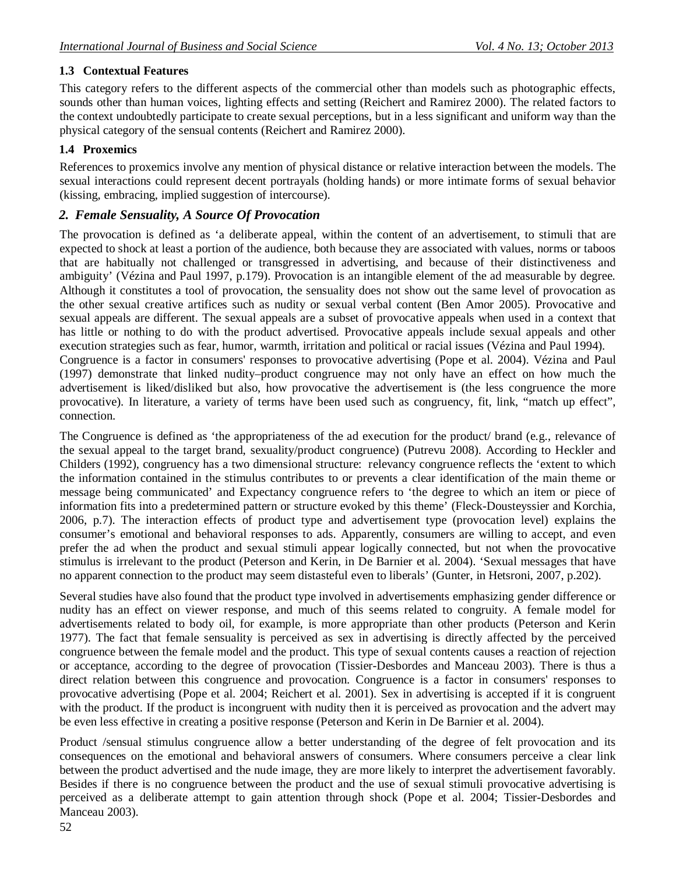# **1.3 Contextual Features**

This category refers to the different aspects of the commercial other than models such as photographic effects, sounds other than human voices, lighting effects and setting (Reichert and Ramirez 2000). The related factors to the context undoubtedly participate to create sexual perceptions, but in a less significant and uniform way than the physical category of the sensual contents (Reichert and Ramirez 2000).

# **1.4 Proxemics**

References to proxemics involve any mention of physical distance or relative interaction between the models. The sexual interactions could represent decent portrayals (holding hands) or more intimate forms of sexual behavior (kissing, embracing, implied suggestion of intercourse).

# *2. Female Sensuality, A Source Of Provocation*

The provocation is defined as 'a deliberate appeal, within the content of an advertisement, to stimuli that are expected to shock at least a portion of the audience, both because they are associated with values, norms or taboos that are habitually not challenged or transgressed in advertising, and because of their distinctiveness and ambiguity' (Vézina and Paul 1997, p.179). Provocation is an intangible element of the ad measurable by degree. Although it constitutes a tool of provocation, the sensuality does not show out the same level of provocation as the other sexual creative artifices such as nudity or sexual verbal content (Ben Amor 2005). Provocative and sexual appeals are different. The sexual appeals are a subset of provocative appeals when used in a context that has little or nothing to do with the product advertised. Provocative appeals include sexual appeals and other execution strategies such as fear, humor, warmth, irritation and political or racial issues (Vézina and Paul 1994). Congruence is a factor in consumers' responses to provocative advertising (Pope et al. 2004). Vézina and Paul (1997) demonstrate that linked nudity–product congruence may not only have an effect on how much the advertisement is liked/disliked but also, how provocative the advertisement is (the less congruence the more provocative). In literature, a variety of terms have been used such as congruency, fit, link, "match up effect", connection.

The Congruence is defined as 'the appropriateness of the ad execution for the product/ brand (e.g., relevance of the sexual appeal to the target brand, sexuality/product congruence) (Putrevu 2008). According to Heckler and Childers (1992), congruency has a two dimensional structure: relevancy congruence reflects the 'extent to which the information contained in the stimulus contributes to or prevents a clear identification of the main theme or message being communicated' and Expectancy congruence refers to 'the degree to which an item or piece of information fits into a predetermined pattern or structure evoked by this theme' (Fleck-Dousteyssier and Korchia, 2006, p.7). The interaction effects of product type and advertisement type (provocation level) explains the consumer's emotional and behavioral responses to ads. Apparently, consumers are willing to accept, and even prefer the ad when the product and sexual stimuli appear logically connected, but not when the provocative stimulus is irrelevant to the product (Peterson and Kerin, in De Barnier et al. 2004). 'Sexual messages that have no apparent connection to the product may seem distasteful even to liberals' (Gunter, in Hetsroni, 2007, p.202).

Several studies have also found that the product type involved in advertisements emphasizing gender difference or nudity has an effect on viewer response, and much of this seems related to congruity. A female model for advertisements related to body oil, for example, is more appropriate than other products (Peterson and Kerin 1977). The fact that female sensuality is perceived as sex in advertising is directly affected by the perceived congruence between the female model and the product. This type of sexual contents causes a reaction of rejection or acceptance, according to the degree of provocation (Tissier-Desbordes and Manceau 2003). There is thus a direct relation between this congruence and provocation. Congruence is a factor in consumers' responses to provocative advertising (Pope et al. 2004; Reichert et al. 2001). Sex in advertising is accepted if it is congruent with the product. If the product is incongruent with nudity then it is perceived as provocation and the advert may be even less effective in creating a positive response (Peterson and Kerin in De Barnier et al. 2004).

Product /sensual stimulus congruence allow a better understanding of the degree of felt provocation and its consequences on the emotional and behavioral answers of consumers. Where consumers perceive a clear link between the product advertised and the nude image, they are more likely to interpret the advertisement favorably. Besides if there is no congruence between the product and the use of sexual stimuli provocative advertising is perceived as a deliberate attempt to gain attention through shock (Pope et al. 2004; Tissier-Desbordes and Manceau 2003).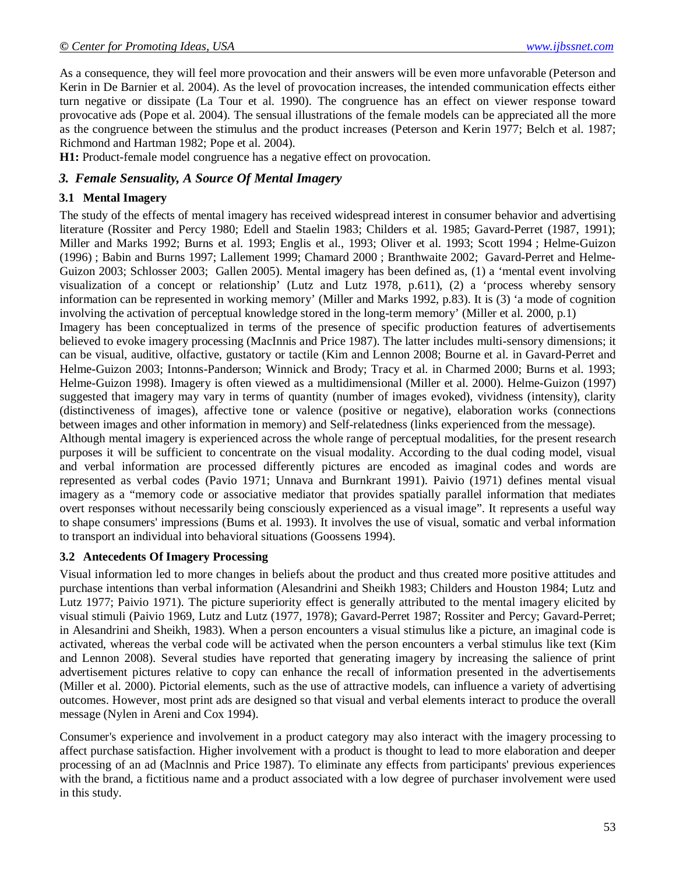As a consequence, they will feel more provocation and their answers will be even more unfavorable (Peterson and Kerin in De Barnier et al. 2004). As the level of provocation increases, the intended communication effects either turn negative or dissipate (La Tour et al. 1990). The congruence has an effect on viewer response toward provocative ads (Pope et al. 2004). The sensual illustrations of the female models can be appreciated all the more as the congruence between the stimulus and the product increases (Peterson and Kerin 1977; Belch et al. 1987; Richmond and Hartman 1982; Pope et al. 2004).

**H1:** Product-female model congruence has a negative effect on provocation.

# *3. Female Sensuality, A Source Of Mental Imagery*

### **3.1 Mental Imagery**

The study of the effects of mental imagery has received widespread interest in consumer behavior and advertising literature (Rossiter and Percy 1980; Edell and Staelin 1983; Childers et al. 1985; Gavard-Perret (1987, 1991); Miller and Marks 1992; Burns et al. 1993; Englis et al., 1993; Oliver et al. 1993; Scott 1994 ; Helme-Guizon (1996) ; Babin and Burns 1997; Lallement 1999; Chamard 2000 ; Branthwaite 2002; Gavard-Perret and Helme-Guizon 2003; Schlosser 2003; Gallen 2005). Mental imagery has been defined as, (1) a 'mental event involving visualization of a concept or relationship' (Lutz and Lutz 1978, p.611), (2) a 'process whereby sensory information can be represented in working memory' (Miller and Marks 1992, p.83). It is (3) 'a mode of cognition involving the activation of perceptual knowledge stored in the long-term memory' (Miller et al. 2000, p.1)

Imagery has been conceptualized in terms of the presence of specific production features of advertisements believed to evoke imagery processing (MacInnis and Price 1987). The latter includes multi-sensory dimensions; it can be visual, auditive, olfactive, gustatory or tactile (Kim and Lennon 2008; Bourne et al. in Gavard-Perret and Helme-Guizon 2003; Intonns-Panderson; Winnick and Brody; Tracy et al. in Charmed 2000; Burns et al. 1993; Helme-Guizon 1998). Imagery is often viewed as a multidimensional (Miller et al. 2000). Helme-Guizon (1997) suggested that imagery may vary in terms of quantity (number of images evoked), vividness (intensity), clarity (distinctiveness of images), affective tone or valence (positive or negative), elaboration works (connections between images and other information in memory) and Self-relatedness (links experienced from the message).

Although mental imagery is experienced across the whole range of perceptual modalities, for the present research purposes it will be sufficient to concentrate on the visual modality. According to the dual coding model, visual and verbal information are processed differently pictures are encoded as imaginal codes and words are represented as verbal codes (Pavio 1971; Unnava and Burnkrant 1991). Paivio (1971) defines mental visual imagery as a "memory code or associative mediator that provides spatially parallel information that mediates overt responses without necessarily being consciously experienced as a visual image". It represents a useful way to shape consumers' impressions (Bums et al. 1993). It involves the use of visual, somatic and verbal information to transport an individual into behavioral situations (Goossens 1994).

### **3.2 Antecedents Of Imagery Processing**

Visual information led to more changes in beliefs about the product and thus created more positive attitudes and purchase intentions than verbal information (Alesandrini and Sheikh 1983; Childers and Houston 1984; Lutz and Lutz 1977; Paivio 1971). The picture superiority effect is generally attributed to the mental imagery elicited by visual stimuli (Paivio 1969, Lutz and Lutz (1977, 1978); Gavard-Perret 1987; Rossiter and Percy; Gavard-Perret; in Alesandrini and Sheikh, 1983). When a person encounters a visual stimulus like a picture, an imaginal code is activated, whereas the verbal code will be activated when the person encounters a verbal stimulus like text (Kim and Lennon 2008). Several studies have reported that generating imagery by increasing the salience of print advertisement pictures relative to copy can enhance the recall of information presented in the advertisements (Miller et al. 2000). Pictorial elements, such as the use of attractive models, can influence a variety of advertising outcomes. However, most print ads are designed so that visual and verbal elements interact to produce the overall message (Nylen in Areni and Cox 1994).

Consumer's experience and involvement in a product category may also interact with the imagery processing to affect purchase satisfaction. Higher involvement with a product is thought to lead to more elaboration and deeper processing of an ad (Maclnnis and Price 1987). To eliminate any effects from participants' previous experiences with the brand, a fictitious name and a product associated with a low degree of purchaser involvement were used in this study.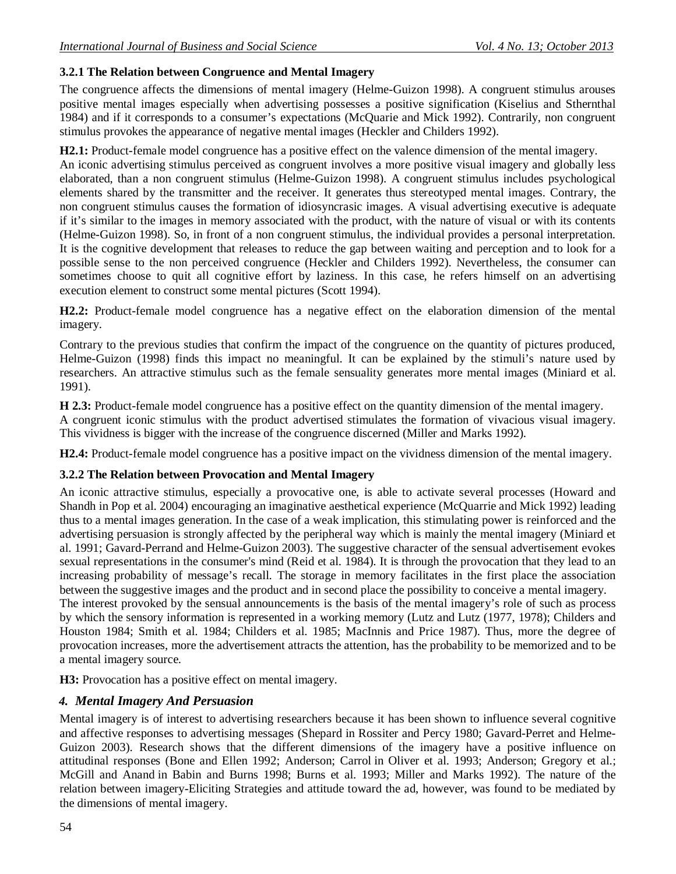# **3.2.1 The Relation between Congruence and Mental Imagery**

The congruence affects the dimensions of mental imagery (Helme-Guizon 1998). A congruent stimulus arouses positive mental images especially when advertising possesses a positive signification (Kiselius and Sthernthal 1984) and if it corresponds to a consumer's expectations (McQuarie and Mick 1992). Contrarily, non congruent stimulus provokes the appearance of negative mental images (Heckler and Childers 1992).

**H2.1:** Product-female model congruence has a positive effect on the valence dimension of the mental imagery.

An iconic advertising stimulus perceived as congruent involves a more positive visual imagery and globally less elaborated, than a non congruent stimulus (Helme-Guizon 1998). A congruent stimulus includes psychological elements shared by the transmitter and the receiver. It generates thus stereotyped mental images. Contrary, the non congruent stimulus causes the formation of idiosyncrasic images. A visual advertising executive is adequate if it's similar to the images in memory associated with the product, with the nature of visual or with its contents (Helme-Guizon 1998). So, in front of a non congruent stimulus, the individual provides a personal interpretation. It is the cognitive development that releases to reduce the gap between waiting and perception and to look for a possible sense to the non perceived congruence (Heckler and Childers 1992). Nevertheless, the consumer can sometimes choose to quit all cognitive effort by laziness. In this case, he refers himself on an advertising execution element to construct some mental pictures (Scott 1994).

**H2.2:** Product-female model congruence has a negative effect on the elaboration dimension of the mental imagery.

Contrary to the previous studies that confirm the impact of the congruence on the quantity of pictures produced, Helme-Guizon (1998) finds this impact no meaningful. It can be explained by the stimuli's nature used by researchers. An attractive stimulus such as the female sensuality generates more mental images (Miniard et al. 1991).

**H 2.3:** Product-female model congruence has a positive effect on the quantity dimension of the mental imagery.

A congruent iconic stimulus with the product advertised stimulates the formation of vivacious visual imagery. This vividness is bigger with the increase of the congruence discerned (Miller and Marks 1992).

**H2.4:** Product-female model congruence has a positive impact on the vividness dimension of the mental imagery.

# **3.2.2 The Relation between Provocation and Mental Imagery**

An iconic attractive stimulus, especially a provocative one, is able to activate several processes (Howard and Shandh in Pop et al. 2004) encouraging an imaginative aesthetical experience (McQuarrie and Mick 1992) leading thus to a mental images generation. In the case of a weak implication, this stimulating power is reinforced and the advertising persuasion is strongly affected by the peripheral way which is mainly the mental imagery (Miniard et al. 1991; Gavard-Perrand and Helme-Guizon 2003). The suggestive character of the sensual advertisement evokes sexual representations in the consumer's mind (Reid et al. 1984). It is through the provocation that they lead to an increasing probability of message's recall. The storage in memory facilitates in the first place the association between the suggestive images and the product and in second place the possibility to conceive a mental imagery. The interest provoked by the sensual announcements is the basis of the mental imagery's role of such as process

by which the sensory information is represented in a working memory (Lutz and Lutz (1977, 1978); Childers and Houston 1984; Smith et al. 1984; Childers et al. 1985; MacInnis and Price 1987). Thus, more the degree of provocation increases, more the advertisement attracts the attention, has the probability to be memorized and to be a mental imagery source.

**H3:** Provocation has a positive effect on mental imagery.

# *4. Mental Imagery And Persuasion*

Mental imagery is of interest to advertising researchers because it has been shown to influence several cognitive and affective responses to advertising messages (Shepard in Rossiter and Percy 1980; Gavard-Perret and Helme-Guizon 2003). Research shows that the different dimensions of the imagery have a positive influence on attitudinal responses (Bone and Ellen 1992; Anderson; Carrol in Oliver et al. 1993; Anderson; Gregory et al.; McGill and Anand in Babin and Burns 1998; Burns et al. 1993; Miller and Marks 1992). The nature of the relation between imagery-Eliciting Strategies and attitude toward the ad, however, was found to be mediated by the dimensions of mental imagery.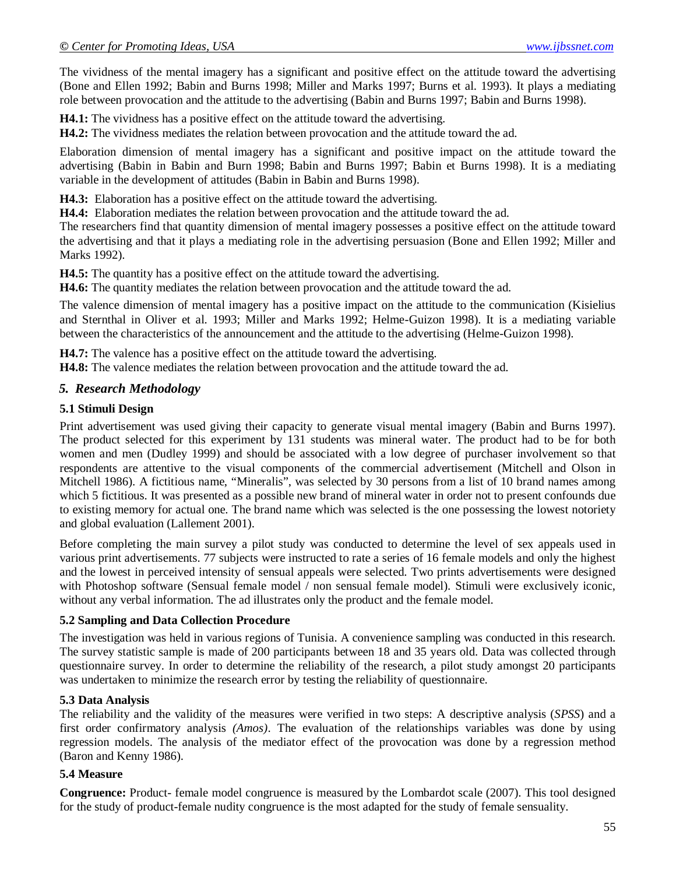The vividness of the mental imagery has a significant and positive effect on the attitude toward the advertising (Bone and Ellen 1992; Babin and Burns 1998; Miller and Marks 1997; Burns et al. 1993). It plays a mediating role between provocation and the attitude to the advertising (Babin and Burns 1997; Babin and Burns 1998).

**H4.1:** The vividness has a positive effect on the attitude toward the advertising.

**H4.2:** The vividness mediates the relation between provocation and the attitude toward the ad.

Elaboration dimension of mental imagery has a significant and positive impact on the attitude toward the advertising (Babin in Babin and Burn 1998; Babin and Burns 1997; Babin et Burns 1998). It is a mediating variable in the development of attitudes (Babin in Babin and Burns 1998).

**H4.3:** Elaboration has a positive effect on the attitude toward the advertising.

**H4.4:** Elaboration mediates the relation between provocation and the attitude toward the ad.

The researchers find that quantity dimension of mental imagery possesses a positive effect on the attitude toward the advertising and that it plays a mediating role in the advertising persuasion (Bone and Ellen 1992; Miller and Marks 1992).

**H4.5:** The quantity has a positive effect on the attitude toward the advertising.

**H4.6:** The quantity mediates the relation between provocation and the attitude toward the ad.

The valence dimension of mental imagery has a positive impact on the attitude to the communication (Kisielius and Sternthal in Oliver et al. 1993; Miller and Marks 1992; Helme-Guizon 1998). It is a mediating variable between the characteristics of the announcement and the attitude to the advertising (Helme-Guizon 1998).

**H4.7:** The valence has a positive effect on the attitude toward the advertising.

**H4.8:** The valence mediates the relation between provocation and the attitude toward the ad.

### *5. Research Methodology*

#### **5.1 Stimuli Design**

Print advertisement was used giving their capacity to generate visual mental imagery (Babin and Burns 1997). The product selected for this experiment by 131 students was mineral water. The product had to be for both women and men (Dudley 1999) and should be associated with a low degree of purchaser involvement so that respondents are attentive to the visual components of the commercial advertisement (Mitchell and Olson in Mitchell 1986). A fictitious name, "Mineralis", was selected by 30 persons from a list of 10 brand names among which 5 fictitious. It was presented as a possible new brand of mineral water in order not to present confounds due to existing memory for actual one. The brand name which was selected is the one possessing the lowest notoriety and global evaluation (Lallement 2001).

Before completing the main survey a pilot study was conducted to determine the level of sex appeals used in various print advertisements. 77 subjects were instructed to rate a series of 16 female models and only the highest and the lowest in perceived intensity of sensual appeals were selected. Two prints advertisements were designed with Photoshop software (Sensual female model / non sensual female model). Stimuli were exclusively iconic, without any verbal information. The ad illustrates only the product and the female model.

#### **5.2 Sampling and Data Collection Procedure**

The investigation was held in various regions of Tunisia. A convenience sampling was conducted in this research. The survey statistic sample is made of 200 participants between 18 and 35 years old. Data was collected through questionnaire survey. In order to determine the reliability of the research, a pilot study amongst 20 participants was undertaken to minimize the research error by testing the reliability of questionnaire.

### **5.3 Data Analysis**

The reliability and the validity of the measures were verified in two steps: A descriptive analysis (*SPSS*) and a first order confirmatory analysis *(Amos)*. The evaluation of the relationships variables was done by using regression models. The analysis of the mediator effect of the provocation was done by a regression method (Baron and Kenny 1986).

### **5.4 Measure**

**Congruence:** Product- female model congruence is measured by the Lombardot scale (2007). This tool designed for the study of product-female nudity congruence is the most adapted for the study of female sensuality.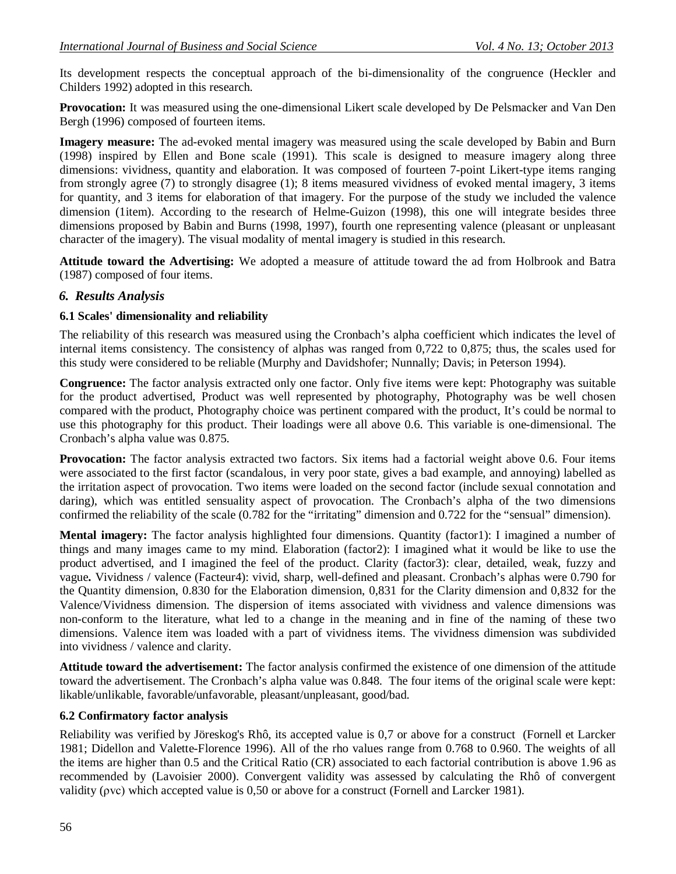Its development respects the conceptual approach of the bi-dimensionality of the congruence (Heckler and Childers 1992) adopted in this research.

**Provocation:** It was measured using the one-dimensional Likert scale developed by De Pelsmacker and Van Den Bergh (1996) composed of fourteen items.

**Imagery measure:** The ad-evoked mental imagery was measured using the scale developed by Babin and Burn (1998) inspired by Ellen and Bone scale (1991). This scale is designed to measure imagery along three dimensions: vividness, quantity and elaboration. It was composed of fourteen 7-point Likert-type items ranging from strongly agree (7) to strongly disagree (1); 8 items measured vividness of evoked mental imagery, 3 items for quantity, and 3 items for elaboration of that imagery. For the purpose of the study we included the valence dimension (1item). According to the research of Helme-Guizon (1998), this one will integrate besides three dimensions proposed by Babin and Burns (1998, 1997), fourth one representing valence (pleasant or unpleasant character of the imagery). The visual modality of mental imagery is studied in this research.

**Attitude toward the Advertising:** We adopted a measure of attitude toward the ad from Holbrook and Batra (1987) composed of four items.

### *6. Results Analysis*

### **6.1 Scales' dimensionality and reliability**

The reliability of this research was measured using the Cronbach's alpha coefficient which indicates the level of internal items consistency. The consistency of alphas was ranged from 0,722 to 0,875; thus, the scales used for this study were considered to be reliable (Murphy and Davidshofer; Nunnally; Davis; in Peterson 1994).

**Congruence:** The factor analysis extracted only one factor. Only five items were kept: Photography was suitable for the product advertised, Product was well represented by photography, Photography was be well chosen compared with the product, Photography choice was pertinent compared with the product, It's could be normal to use this photography for this product. Their loadings were all above 0.6. This variable is one-dimensional. The Cronbach's alpha value was 0.875.

**Provocation:** The factor analysis extracted two factors. Six items had a factorial weight above 0.6. Four items were associated to the first factor (scandalous, in very poor state, gives a bad example, and annoying) labelled as the irritation aspect of provocation. Two items were loaded on the second factor (include sexual connotation and daring), which was entitled sensuality aspect of provocation. The Cronbach's alpha of the two dimensions confirmed the reliability of the scale (0.782 for the "irritating" dimension and 0.722 for the "sensual" dimension).

**Mental imagery:** The factor analysis highlighted four dimensions. Quantity (factor1): I imagined a number of things and many images came to my mind. Elaboration (factor2): I imagined what it would be like to use the product advertised, and I imagined the feel of the product. Clarity (factor3): clear, detailed, weak, fuzzy and vague**.** Vividness / valence (Facteur4): vivid, sharp, well-defined and pleasant. Cronbach's alphas were 0.790 for the Quantity dimension, 0.830 for the Elaboration dimension, 0,831 for the Clarity dimension and 0,832 for the Valence/Vividness dimension. The dispersion of items associated with vividness and valence dimensions was non-conform to the literature, what led to a change in the meaning and in fine of the naming of these two dimensions. Valence item was loaded with a part of vividness items. The vividness dimension was subdivided into vividness / valence and clarity.

**Attitude toward the advertisement:** The factor analysis confirmed the existence of one dimension of the attitude toward the advertisement. The Cronbach's alpha value was 0.848. The four items of the original scale were kept: likable/unlikable, favorable/unfavorable, pleasant/unpleasant, good/bad.

### **6.2 Confirmatory factor analysis**

Reliability was verified by Jöreskog's Rhô, its accepted value is 0,7 or above for a construct (Fornell et Larcker 1981; Didellon and Valette-Florence 1996). All of the rho values range from 0.768 to 0.960. The weights of all the items are higher than 0.5 and the Critical Ratio (CR) associated to each factorial contribution is above 1.96 as recommended by (Lavoisier 2000). Convergent validity was assessed by calculating the Rhô of convergent validity (ρvc) which accepted value is 0,50 or above for a construct (Fornell and Larcker 1981).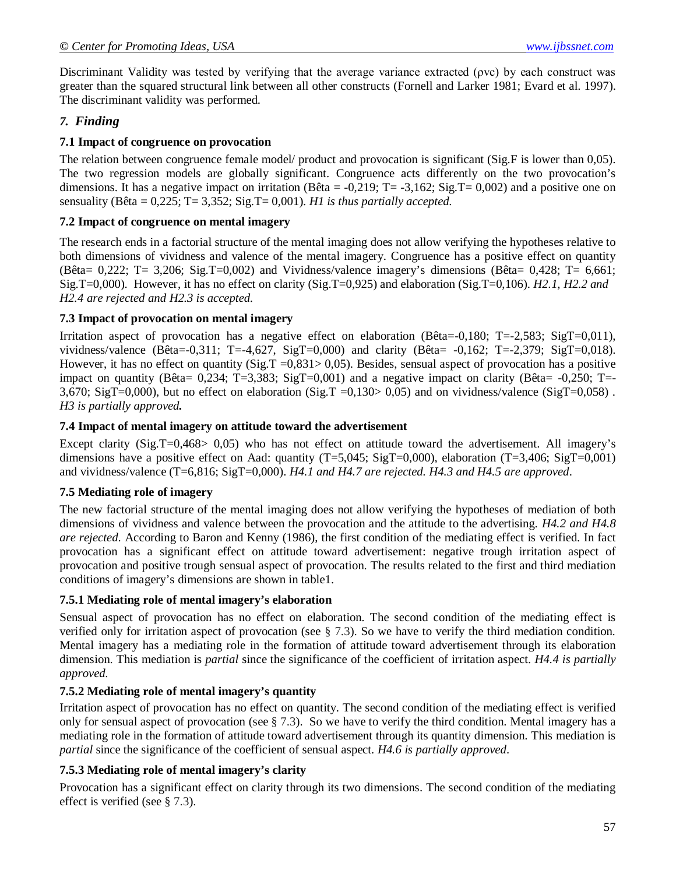Discriminant Validity was tested by verifying that the average variance extracted (ρvc) by each construct was greater than the squared structural link between all other constructs (Fornell and Larker 1981; Evard et al. 1997). The discriminant validity was performed.

# *7. Finding*

## **7.1 Impact of congruence on provocation**

The relation between congruence female model/ product and provocation is significant (Sig.F is lower than 0,05). The two regression models are globally significant. Congruence acts differently on the two provocation's dimensions. It has a negative impact on irritation (Bêta =  $-0.219$ ; T =  $-3.162$ ; Sig.T = 0,002) and a positive one on sensuality (Bêta =  $0.225$ ; T =  $3.352$ ; Sig.T =  $0.001$ ). *H1 is thus partially accepted.* 

### **7.2 Impact of congruence on mental imagery**

The research ends in a factorial structure of the mental imaging does not allow verifying the hypotheses relative to both dimensions of vividness and valence of the mental imagery. Congruence has a positive effect on quantity (Bêta=  $0,222$ ; T= 3,206; Sig.T=0,002) and Vividness/valence imagery's dimensions (Bêta=  $0,428$ ; T=  $6,661$ ; Sig.T=0,000). However, it has no effect on clarity (Sig.T=0,925) and elaboration (Sig.T=0,106). *H2.1, H2.2 and H2.4 are rejected and H2.3 is accepted.* 

### **7.3 Impact of provocation on mental imagery**

Irritation aspect of provocation has a negative effect on elaboration (Bêta=-0,180; T=-2,583; SigT=0,011), vividness/valence (Bêta=-0,311; T=-4,627, SigT=0,000) and clarity (Bêta= -0,162; T=-2,379; SigT=0,018). However, it has no effect on quantity ( $Sig.T = 0.831 > 0.05$ ). Besides, sensual aspect of provocation has a positive impact on quantity (Bêta=  $0.234$ ; T=3,383; SigT=0,001) and a negative impact on clarity (Bêta=  $-0.250$ ; T=-3,670; SigT=0,000), but no effect on elaboration (Sig.T =0,130> 0,05) and on vividness/valence (SigT=0,058). *H3 is partially approved.*

### **7.4 Impact of mental imagery on attitude toward the advertisement**

Except clarity (Sig.T=0,468> 0,05) who has not effect on attitude toward the advertisement. All imagery's dimensions have a positive effect on Aad: quantity  $(T=5,045; SigT=0,000)$ , elaboration  $(T=3,406; SigT=0,001)$ and vividness/valence (T=6,816; SigT=0,000). *H4.1 and H4.7 are rejected. H4.3 and H4.5 are approved*.

# **7.5 Mediating role of imagery**

The new factorial structure of the mental imaging does not allow verifying the hypotheses of mediation of both dimensions of vividness and valence between the provocation and the attitude to the advertising. *H4.2 and H4.8 are rejected*. According to Baron and Kenny (1986), the first condition of the mediating effect is verified. In fact provocation has a significant effect on attitude toward advertisement: negative trough irritation aspect of provocation and positive trough sensual aspect of provocation. The results related to the first and third mediation conditions of imagery's dimensions are shown in table1.

# **7.5.1 Mediating role of mental imagery's elaboration**

Sensual aspect of provocation has no effect on elaboration. The second condition of the mediating effect is verified only for irritation aspect of provocation (see § 7.3). So we have to verify the third mediation condition. Mental imagery has a mediating role in the formation of attitude toward advertisement through its elaboration dimension. This mediation is *partial* since the significance of the coefficient of irritation aspect. *H4.4 is partially approved.*

# **7.5.2 Mediating role of mental imagery's quantity**

Irritation aspect of provocation has no effect on quantity. The second condition of the mediating effect is verified only for sensual aspect of provocation (see  $\S 7.3$ ). So we have to verify the third condition. Mental imagery has a mediating role in the formation of attitude toward advertisement through its quantity dimension. This mediation is *partial* since the significance of the coefficient of sensual aspect. *H4.6 is partially approved*.

# **7.5.3 Mediating role of mental imagery's clarity**

Provocation has a significant effect on clarity through its two dimensions. The second condition of the mediating effect is verified (see § 7.3).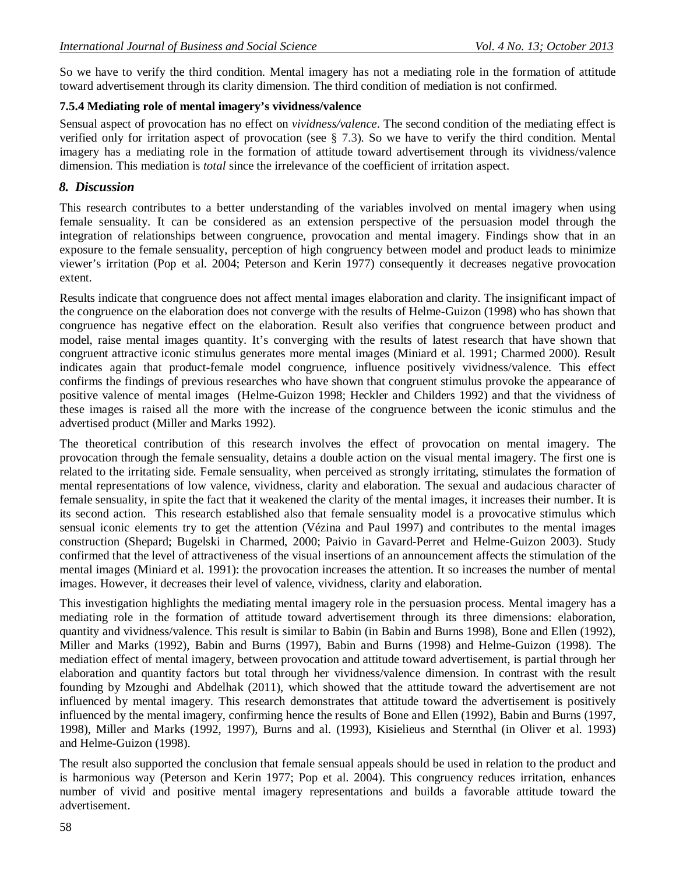So we have to verify the third condition. Mental imagery has not a mediating role in the formation of attitude toward advertisement through its clarity dimension. The third condition of mediation is not confirmed.

# **7.5.4 Mediating role of mental imagery's vividness/valence**

Sensual aspect of provocation has no effect on *vividness/valence*. The second condition of the mediating effect is verified only for irritation aspect of provocation (see § 7.3). So we have to verify the third condition. Mental imagery has a mediating role in the formation of attitude toward advertisement through its vividness/valence dimension. This mediation is *total* since the irrelevance of the coefficient of irritation aspect.

### *8. Discussion*

This research contributes to a better understanding of the variables involved on mental imagery when using female sensuality. It can be considered as an extension perspective of the persuasion model through the integration of relationships between congruence, provocation and mental imagery. Findings show that in an exposure to the female sensuality, perception of high congruency between model and product leads to minimize viewer's irritation (Pop et al. 2004; Peterson and Kerin 1977) consequently it decreases negative provocation extent.

Results indicate that congruence does not affect mental images elaboration and clarity. The insignificant impact of the congruence on the elaboration does not converge with the results of Helme-Guizon (1998) who has shown that congruence has negative effect on the elaboration. Result also verifies that congruence between product and model, raise mental images quantity. It's converging with the results of latest research that have shown that congruent attractive iconic stimulus generates more mental images (Miniard et al. 1991; Charmed 2000). Result indicates again that product-female model congruence, influence positively vividness/valence. This effect confirms the findings of previous researches who have shown that congruent stimulus provoke the appearance of positive valence of mental images (Helme-Guizon 1998; Heckler and Childers 1992) and that the vividness of these images is raised all the more with the increase of the congruence between the iconic stimulus and the advertised product (Miller and Marks 1992).

The theoretical contribution of this research involves the effect of provocation on mental imagery. The provocation through the female sensuality, detains a double action on the visual mental imagery. The first one is related to the irritating side. Female sensuality, when perceived as strongly irritating, stimulates the formation of mental representations of low valence, vividness, clarity and elaboration. The sexual and audacious character of female sensuality, in spite the fact that it weakened the clarity of the mental images, it increases their number. It is its second action. This research established also that female sensuality model is a provocative stimulus which sensual iconic elements try to get the attention (Vézina and Paul 1997) and contributes to the mental images construction (Shepard; Bugelski in Charmed, 2000; Paivio in Gavard-Perret and Helme-Guizon 2003). Study confirmed that the level of attractiveness of the visual insertions of an announcement affects the stimulation of the mental images (Miniard et al. 1991): the provocation increases the attention. It so increases the number of mental images. However, it decreases their level of valence, vividness, clarity and elaboration.

This investigation highlights the mediating mental imagery role in the persuasion process. Mental imagery has a mediating role in the formation of attitude toward advertisement through its three dimensions: elaboration, quantity and vividness/valence. This result is similar to Babin (in Babin and Burns 1998), Bone and Ellen (1992), Miller and Marks (1992), Babin and Burns (1997), Babin and Burns (1998) and Helme-Guizon (1998). The mediation effect of mental imagery, between provocation and attitude toward advertisement, is partial through her elaboration and quantity factors but total through her vividness/valence dimension. In contrast with the result founding by Mzoughi and Abdelhak (2011), which showed that the attitude toward the advertisement are not influenced by mental imagery. This research demonstrates that attitude toward the advertisement is positively influenced by the mental imagery, confirming hence the results of Bone and Ellen (1992), Babin and Burns (1997, 1998), Miller and Marks (1992, 1997), Burns and al. (1993), Kisielieus and Sternthal (in Oliver et al. 1993) and Helme-Guizon (1998).

The result also supported the conclusion that female sensual appeals should be used in relation to the product and is harmonious way (Peterson and Kerin 1977; Pop et al. 2004). This congruency reduces irritation, enhances number of vivid and positive mental imagery representations and builds a favorable attitude toward the advertisement.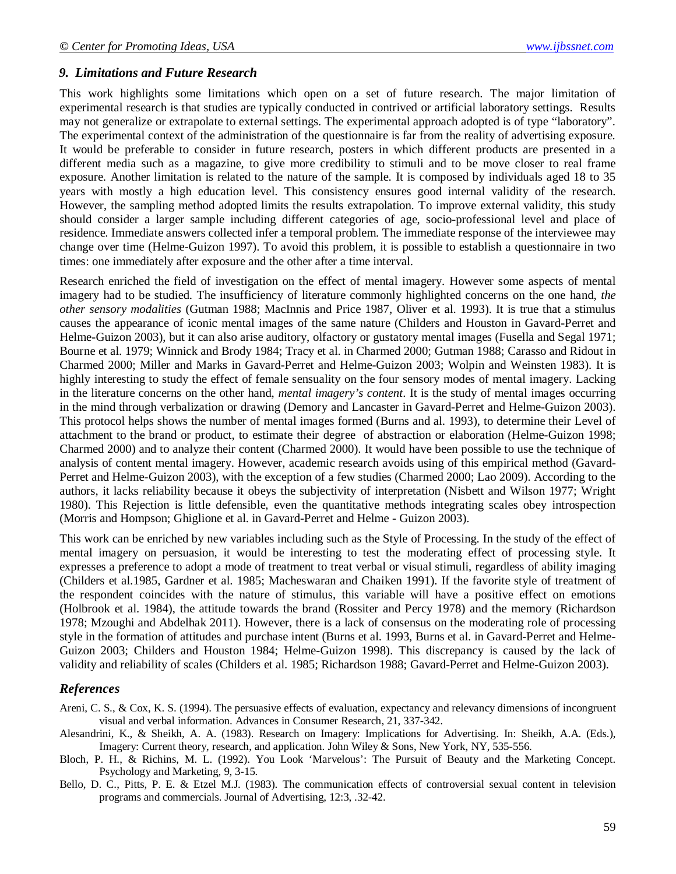### *9. Limitations and Future Research*

This work highlights some limitations which open on a set of future research. The major limitation of experimental research is that studies are typically conducted in contrived or artificial laboratory settings. Results may not generalize or extrapolate to external settings. The experimental approach adopted is of type "laboratory". The experimental context of the administration of the questionnaire is far from the reality of advertising exposure. It would be preferable to consider in future research, posters in which different products are presented in a different media such as a magazine, to give more credibility to stimuli and to be move closer to real frame exposure. Another limitation is related to the nature of the sample. It is composed by individuals aged 18 to 35 years with mostly a high education level. This consistency ensures good internal validity of the research. However, the sampling method adopted limits the results extrapolation. To improve external validity, this study should consider a larger sample including different categories of age, socio-professional level and place of residence. Immediate answers collected infer a temporal problem. The immediate response of the interviewee may change over time (Helme-Guizon 1997). To avoid this problem, it is possible to establish a questionnaire in two times: one immediately after exposure and the other after a time interval.

Research enriched the field of investigation on the effect of mental imagery. However some aspects of mental imagery had to be studied. The insufficiency of literature commonly highlighted concerns on the one hand, *the other sensory modalities* (Gutman 1988; MacInnis and Price 1987, Oliver et al. 1993). It is true that a stimulus causes the appearance of iconic mental images of the same nature (Childers and Houston in Gavard-Perret and Helme-Guizon 2003), but it can also arise auditory, olfactory or gustatory mental images (Fusella and Segal 1971; Bourne et al. 1979; Winnick and Brody 1984; Tracy et al. in Charmed 2000; Gutman 1988; Carasso and Ridout in Charmed 2000; Miller and Marks in Gavard-Perret and Helme-Guizon 2003; Wolpin and Weinsten 1983). It is highly interesting to study the effect of female sensuality on the four sensory modes of mental imagery. Lacking in the literature concerns on the other hand, *mental imagery's content*. It is the study of mental images occurring in the mind through verbalization or drawing (Demory and Lancaster in Gavard-Perret and Helme-Guizon 2003). This protocol helps shows the number of mental images formed (Burns and al. 1993), to determine their Level of attachment to the brand or product, to estimate their degree of abstraction or elaboration (Helme-Guizon 1998; Charmed 2000) and to analyze their content (Charmed 2000). It would have been possible to use the technique of analysis of content mental imagery. However, academic research avoids using of this empirical method (Gavard-Perret and Helme-Guizon 2003), with the exception of a few studies (Charmed 2000; Lao 2009). According to the authors, it lacks reliability because it obeys the subjectivity of interpretation (Nisbett and Wilson 1977; Wright 1980). This Rejection is little defensible, even the quantitative methods integrating scales obey introspection (Morris and Hompson; Ghiglione et al. in Gavard-Perret and Helme - Guizon 2003).

This work can be enriched by new variables including such as the Style of Processing. In the study of the effect of mental imagery on persuasion, it would be interesting to test the moderating effect of processing style. It expresses a preference to adopt a mode of treatment to treat verbal or visual stimuli, regardless of ability imaging (Childers et al.1985, Gardner et al. 1985; Macheswaran and Chaiken 1991). If the favorite style of treatment of the respondent coincides with the nature of stimulus, this variable will have a positive effect on emotions (Holbrook et al. 1984), the attitude towards the brand (Rossiter and Percy 1978) and the memory (Richardson 1978; Mzoughi and Abdelhak 2011). However, there is a lack of consensus on the moderating role of processing style in the formation of attitudes and purchase intent (Burns et al. 1993, Burns et al. in Gavard-Perret and Helme-Guizon 2003; Childers and Houston 1984; Helme-Guizon 1998). This discrepancy is caused by the lack of validity and reliability of scales (Childers et al. 1985; Richardson 1988; Gavard-Perret and Helme-Guizon 2003).

# *References*

- Areni, C. S., & Cox, K. S. (1994). The persuasive effects of evaluation, expectancy and relevancy dimensions of incongruent visual and verbal information. Advances in Consumer Research, 21, 337-342.
- Alesandrini, K., & Sheikh, A. A. (1983). Research on Imagery: Implications for Advertising. In: Sheikh, A.A. (Eds.), Imagery: Current theory, research, and application. John Wiley & Sons, New York, NY, 535-556.
- Bloch, P. H., & Richins, M. L. (1992). You Look 'Marvelous': The Pursuit of Beauty and the Marketing Concept. Psychology and Marketing, 9, 3-15.
- Bello, D. C., Pitts, P. E. & Etzel M.J. (1983). The communication effects of controversial sexual content in television programs and commercials. Journal of Advertising, 12:3, .32-42.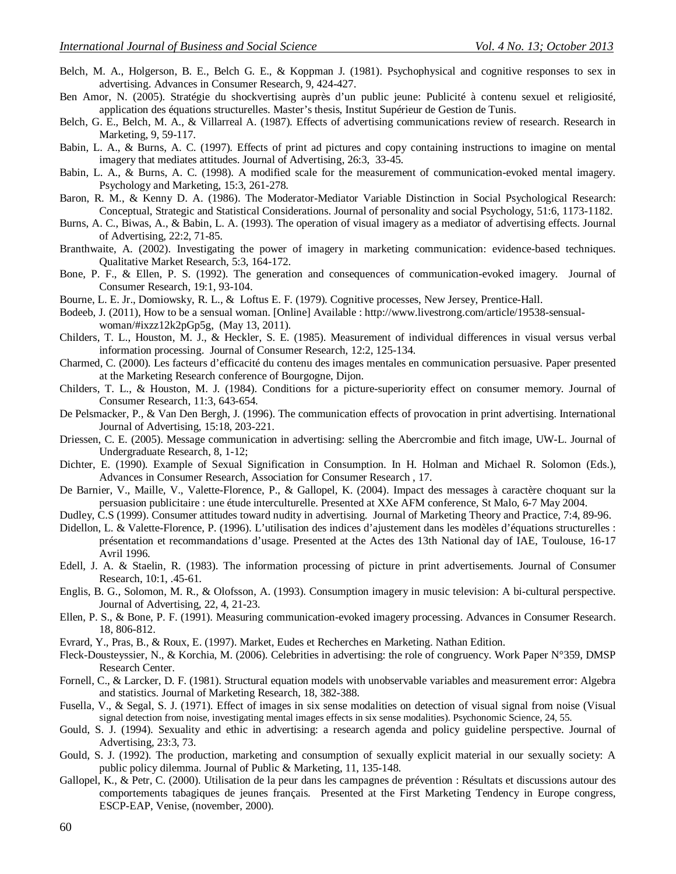- Belch, M. A., Holgerson, B. E., Belch G. E., & Koppman J. (1981). Psychophysical and cognitive responses to sex in advertising. Advances in Consumer Research, 9, 424-427.
- Ben Amor, N. (2005). Stratégie du shockvertising auprès d'un public jeune: Publicité à contenu sexuel et religiosité, application des équations structurelles. Master's thesis, Institut Supérieur de Gestion de Tunis.
- Belch, G. E., Belch, M. A., & Villarreal A. (1987). Effects of advertising communications review of research. Research in Marketing, 9, 59-117.
- Babin, L. A., & Burns, A. C. (1997). Effects of print ad pictures and copy containing instructions to imagine on mental imagery that mediates attitudes. Journal of Advertising, 26:3, 33-45.
- Babin, L. A., & Burns, A. C. (1998). A modified scale for the measurement of communication-evoked mental imagery. Psychology and Marketing, 15:3, 261-278.
- Baron, R. M., & Kenny D. A. (1986). The Moderator-Mediator Variable Distinction in Social Psychological Research: Conceptual, Strategic and Statistical Considerations. Journal of personality and social Psychology, 51:6, 1173-1182.
- Burns, A. C., Biwas, A., & Babin, L. A. (1993). The operation of visual imagery as a mediator of advertising effects. Journal of Advertising, 22:2, 71-85.
- Branthwaite, A. (2002). Investigating the power of imagery in marketing communication: evidence-based techniques. Qualitative Market Research, 5:3, 164-172.
- Bone, P. F., & Ellen, P. S. (1992). The generation and consequences of communication-evoked imagery. Journal of Consumer Research, 19:1, 93-104.
- Bourne, L. E. Jr., Domiowsky, R. L., & Loftus E. F. (1979). Cognitive processes, New Jersey, Prentice-Hall.
- Bodeeb, J. (2011), How to be a sensual woman. [Online] Available : http://www.livestrong.com/article/19538-sensualwoman/#ixzz12k2pGp5g, (May 13, 2011).
- Childers, T. L., Houston, M. J., & Heckler, S. E. (1985). Measurement of individual differences in visual versus verbal information processing. Journal of Consumer Research, 12:2, 125-134.
- Charmed, C. (2000). Les facteurs d'efficacité du contenu des images mentales en communication persuasive. Paper presented at the Marketing Research conference of Bourgogne, Dijon.
- Childers, T. L., & Houston, M. J. (1984). Conditions for a picture-superiority effect on consumer memory. Journal of Consumer Research, 11:3, 643-654.
- De Pelsmacker, P., & Van Den Bergh, J. (1996). The communication effects of provocation in print advertising. International Journal of Advertising, 15:18, 203-221.
- Driessen, C. E. (2005). Message communication in advertising: selling the Abercrombie and fitch image, UW-L. Journal of Undergraduate Research, 8, 1-12;
- Dichter, E. (1990). Example of Sexual Signification in Consumption. In H. Holman and Michael R. Solomon (Eds.), Advances in Consumer Research, Association for Consumer Research , 17.
- De Barnier, V., Maille, V., Valette-Florence, P., & Gallopel, K. (2004). Impact des messages à caractère choquant sur la persuasion publicitaire : une étude interculturelle. Presented at XXe AFM conference, St Malo, 6-7 May 2004.
- Dudley, C.S (1999). Consumer attitudes toward nudity in advertising. Journal of Marketing Theory and Practice, 7:4, 89-96.
- Didellon, L. & Valette-Florence, P. (1996). L'utilisation des indices d'ajustement dans les modèles d'équations structurelles : présentation et recommandations d'usage. Presented at the Actes des 13th National day of IAE, Toulouse, 16-17 Avril 1996.
- Edell, J. A. & Staelin, R. (1983). The information processing of picture in print advertisements. Journal of Consumer Research, 10:1, .45-61.
- Englis, B. G., Solomon, M. R., & Olofsson, A. (1993). Consumption imagery in music television: A bi-cultural perspective. Journal of Advertising, 22, 4, 21-23.
- Ellen, P. S., & Bone, P. F. (1991). Measuring communication-evoked imagery processing. Advances in Consumer Research. 18, 806-812.
- Evrard, Y., Pras, B., & Roux, E. (1997). Market, Eudes et Recherches en Marketing. Nathan Edition.
- Fleck-Dousteyssier, N., & Korchia, M. (2006). Celebrities in advertising: the role of congruency. Work Paper N°359, DMSP Research Center.
- Fornell, C., & Larcker, D. F. (1981). Structural equation models with unobservable variables and measurement error: Algebra and statistics. Journal of Marketing Research, 18, 382-388.
- Fusella, V., & Segal, S. J. (1971). Effect of images in six sense modalities on detection of visual signal from noise (Visual signal detection from noise, investigating mental images effects in six sense modalities). Psychonomic Science, 24, 55.
- Gould, S. J. (1994). Sexuality and ethic in advertising: a research agenda and policy guideline perspective. Journal of Advertising, 23:3, 73.
- Gould, S. J. (1992). The production, marketing and consumption of sexually explicit material in our sexually society: A public policy dilemma. Journal of Public & Marketing, 11, 135-148.
- Gallopel, K., & Petr, C. (2000). Utilisation de la peur dans les campagnes de prévention : Résultats et discussions autour des comportements tabagiques de jeunes français. Presented at the First Marketing Tendency in Europe congress, ESCP-EAP, Venise, (november, 2000).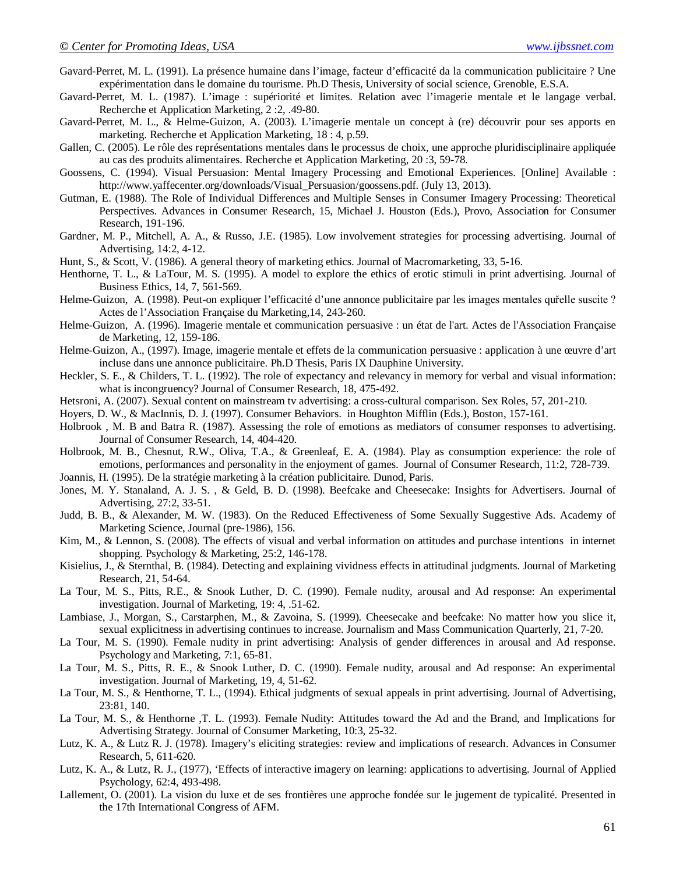- Gavard-Perret, M. L. (1991). La présence humaine dans l'image, facteur d'efficacité da la communication publicitaire ? Une expérimentation dans le domaine du tourisme. Ph.D Thesis, University of social science, Grenoble, E.S.A.
- Gavard-Perret, M. L. (1987). L'image : supériorité et limites. Relation avec l'imagerie mentale et le langage verbal. Recherche et Application Marketing, 2 :2, .49-80.
- Gavard-Perret, M. L., & Helme-Guizon, A. (2003). L'imagerie mentale un concept à (re) découvrir pour ses apports en marketing. Recherche et Application Marketing, 18 : 4, p.59.
- Gallen, C. (2005). Le rôle des représentations mentales dans le processus de choix, une approche pluridisciplinaire appliquée au cas des produits alimentaires. Recherche et Application Marketing, 20 :3, 59-78.
- Goossens, C. (1994). Visual Persuasion: Mental Imagery Processing and Emotional Experiences. [Online] Available : http://www.yaffecenter.org/downloads/Visual\_Persuasion/goossens.pdf. (July 13, 2013).
- Gutman, E. (1988). The Role of Individual Differences and Multiple Senses in Consumer Imagery Processing: Theoretical Perspectives. Advances in Consumer Research, 15, Michael J. Houston (Eds.), Provo, Association for Consumer Research, 191-196.
- Gardner, M. P., Mitchell, A. A., & Russo, J.E. (1985). Low involvement strategies for processing advertising. Journal of Advertising, 14:2, 4-12.
- Hunt, S., & Scott, V. (1986). A general theory of marketing ethics. Journal of Macromarketing, 33, 5-16.
- Henthorne, T. L., & LaTour, M. S. (1995). A model to explore the ethics of erotic stimuli in print advertising. Journal of Business Ethics, 14, 7, 561-569.
- Helme-Guizon, A. (1998). Peut-on expliquer l'efficacité d'une annonce publicitaire par les images mentales quřelle suscite ? Actes de l'Association Française du Marketing,14, 243-260.
- Helme-Guizon, A. (1996). Imagerie mentale et communication persuasive : un état de l'art. Actes de l'Association Française de Marketing, 12, 159-186.
- Helme-Guizon, A., (1997). Image, imagerie mentale et effets de la communication persuasive : application à une œuvre d'art incluse dans une annonce publicitaire. Ph.D Thesis, Paris IX Dauphine University.
- Heckler, S. E., & Childers, T. L. (1992). The role of expectancy and relevancy in memory for verbal and visual information: what is incongruency? Journal of Consumer Research, 18, 475-492.
- Hetsroni, A. (2007). Sexual content on mainstream tv advertising: a cross-cultural comparison. Sex Roles, 57, 201-210.
- Hoyers, D. W., & MacInnis, D. J. (1997). Consumer Behaviors. in Houghton Mifflin (Eds.), Boston, 157-161.
- Holbrook , M. B and Batra R. (1987). Assessing the role of emotions as mediators of consumer responses to advertising. Journal of Consumer Research, 14, 404-420.
- Holbrook, M. B., Chesnut, R.W., Oliva, T.A., & Greenleaf, E. A. (1984). Play as consumption experience: the role of emotions, performances and personality in the enjoyment of games. Journal of Consumer Research, 11:2, 728-739.
- Joannis, H. (1995). De la stratégie marketing à la création publicitaire. Dunod, Paris.
- Jones, M. Y. Stanaland, A. J. S. , & Geld, B. D. (1998). Beefcake and Cheesecake: Insights for Advertisers. Journal of Advertising, 27:2, 33-51.
- Judd, B. B., & Alexander, M. W. (1983). On the Reduced Effectiveness of Some Sexually Suggestive Ads. Academy of Marketing Science, Journal (pre-1986), 156.
- Kim, M., & Lennon, S. (2008). The effects of visual and verbal information on attitudes and purchase intentions in internet shopping. Psychology & Marketing, 25:2, 146-178.
- Kisielius, J., & Sternthal, B. (1984). Detecting and explaining vividness effects in attitudinal judgments. Journal of Marketing Research, 21, 54-64.
- La Tour, M. S., Pitts, R.E., & Snook Luther, D. C. (1990). Female nudity, arousal and Ad response: An experimental investigation. Journal of Marketing, 19: 4, .51-62.
- Lambiase, J., Morgan, S., Carstarphen, M., & Zavoina, S. (1999). Cheesecake and beefcake: No matter how you slice it, sexual explicitness in advertising continues to increase. Journalism and Mass Communication Quarterly, 21, 7-20.
- La Tour, M. S. (1990). Female nudity in print advertising: Analysis of gender differences in arousal and Ad response. Psychology and Marketing, 7:1, 65-81.
- La Tour, M. S., Pitts, R. E., & Snook Luther, D. C. (1990). Female nudity, arousal and Ad response: An experimental investigation. Journal of Marketing, 19, 4, 51-62.
- La Tour, M. S., & Henthorne, T. L., (1994). Ethical judgments of sexual appeals in print advertising. Journal of Advertising, 23:81, 140.
- La Tour, M. S., & Henthorne ,T. L. (1993). Female Nudity: Attitudes toward the Ad and the Brand, and Implications for Advertising Strategy. Journal of Consumer Marketing, 10:3, 25-32.
- Lutz, K. A., & Lutz R. J. (1978). Imagery's eliciting strategies: review and implications of research. Advances in Consumer Research, 5, 611-620.
- Lutz, K. A., & Lutz, R. J., (1977), 'Effects of interactive imagery on learning: applications to advertising. Journal of Applied Psychology, 62:4, 493-498.
- Lallement, O. (2001). La vision du luxe et de ses frontières une approche fondée sur le jugement de typicalité. Presented in the 17th International Congress of AFM.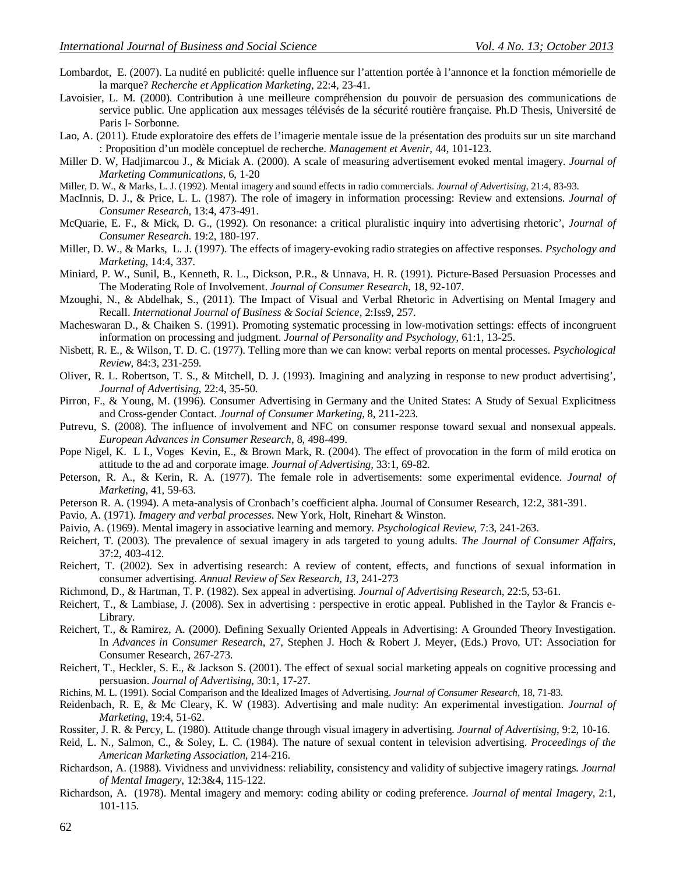- Lombardot, E. (2007). La nudité en publicité: quelle influence sur l'attention portée à l'annonce et la fonction mémorielle de la marque? *Recherche et Application Marketing*, 22:4, 23-41.
- Lavoisier, L. M. (2000). Contribution à une meilleure compréhension du pouvoir de persuasion des communications de service public. Une application aux messages télévisés de la sécurité routière française. Ph.D Thesis, Université de Paris I- Sorbonne.
- Lao, A. (2011). Etude exploratoire des effets de l'imagerie mentale issue de la présentation des produits sur un site marchand : Proposition d'un modèle conceptuel de recherche. *Management et Avenir*, 44, 101-123.
- Miller D. W, Hadjimarcou J., & Miciak A. (2000). A scale of measuring advertisement evoked mental imagery. *Journal of Marketing Communications*, 6, 1-20
- Miller, D. W., & Marks, L. J. (1992). Mental imagery and sound effects in radio commercials. *Journal of Advertising*, 21:4, 83-93.
- MacInnis, D. J., & Price, L. L. (1987). The role of imagery in information processing: Review and extensions. *Journal of Consumer Research*, 13:4, 473-491.
- McQuarie, E. F., & Mick, D. G., (1992). On resonance: a critical pluralistic inquiry into advertising rhetoric', *Journal of Consumer Research*. 19:2, 180-197.
- Miller, D. W., & Marks, L. J. (1997). The effects of imagery-evoking radio strategies on affective responses. *Psychology and Marketing*, 14:4, 337.
- Miniard, P. W., Sunil, B., Kenneth, R. L., Dickson, P.R., & Unnava, H. R. (1991). Picture-Based Persuasion Processes and The Moderating Role of Involvement. *Journal of Consumer Research*, 18, 92-107.
- Mzoughi, N., & Abdelhak, S., (2011). The Impact of Visual and Verbal Rhetoric in Advertising on Mental Imagery and Recall. *International Journal of Business & Social Science*, 2:Iss9, 257.
- Macheswaran D., & Chaiken S. (1991). Promoting systematic processing in low-motivation settings: effects of incongruent information on processing and judgment. *Journal of Personality and Psychology*, 61:1, 13-25.
- Nisbett, R. E., & Wilson, T. D. C. (1977). Telling more than we can know: verbal reports on mental processes. *Psychological Review*, 84:3, 231-259.
- Oliver, R. L. Robertson, T. S., & Mitchell, D. J. (1993). Imagining and analyzing in response to new product advertising', *Journal of Advertising*, 22:4, 35-50.
- Pirron, F., & Young, M. (1996). Consumer Advertising in Germany and the United States: A Study of Sexual Explicitness and Cross-gender Contact. *Journal of Consumer Marketing*, 8, 211-223.
- Putrevu, S. (2008). The influence of involvement and NFC on consumer response toward sexual and nonsexual appeals. *European Advances in Consumer Research*, 8, 498-499.
- Pope Nigel, K. L I., Voges Kevin, E., & Brown Mark, R. (2004). The effect of provocation in the form of mild erotica on attitude to the ad and corporate image. *Journal of Advertising*, 33:1, 69-82.
- Peterson, R. A., & Kerin, R. A. (1977). The female role in advertisements: some experimental evidence. *Journal of Marketing*, 41, 59-63.
- Peterson R. A. (1994). A meta-analysis of Cronbach's coefficient alpha. Journal of Consumer Research, 12:2, 381-391.
- Pavio, A. (1971). *Imagery and verbal processes*. New York, Holt, Rinehart & Winston.
- Paivio, A. (1969). Mental imagery in associative learning and memory. *Psychological Review*, 7:3, 241-263.
- Reichert, T. (2003). The prevalence of sexual imagery in ads targeted to young adults. *The Journal of Consumer Affairs*, 37:2, 403-412.
- Reichert, T. (2002). Sex in advertising research: A review of content, effects, and functions of sexual information in consumer advertising. *Annual Review of Sex Research*, *13*, 241-273
- Richmond, D., & Hartman, T. P. (1982). Sex appeal in advertising. *Journal of Advertising Research*, 22:5, 53-61.
- Reichert, T., & Lambiase, J. (2008). Sex in advertising : perspective in erotic appeal. Published in the Taylor & Francis e-Library.
- Reichert, T., & Ramirez, A. (2000). Defining Sexually Oriented Appeals in Advertising: A Grounded Theory Investigation. In *Advances in Consumer Research*, 27, Stephen J. Hoch & Robert J. Meyer, (Eds.) Provo, UT: Association for Consumer Research, 267-273.
- Reichert, T., Heckler, S. E., & Jackson S. (2001). The effect of sexual social marketing appeals on cognitive processing and persuasion. *Journal of Advertising*, 30:1, 17-27.
- Richins, M. L. (1991). Social Comparison and the Idealized Images of Advertising. *Journal of Consumer Research*, 18, 71-83.
- Reidenbach, R. E, & Mc Cleary, K. W (1983). Advertising and male nudity: An experimental investigation. *Journal of Marketing*, 19:4, 51-62.
- Rossiter, J. R. & Percy, L. (1980). Attitude change through visual imagery in advertising. *Journal of Advertising*, 9:2, 10-16.
- Reid, L. N., Salmon, C., & Soley, L. C. (1984). The nature of sexual content in television advertising. *Proceedings of the American Marketing Association*, 214-216.
- Richardson, A. (1988). Vividness and unvividness: reliability, consistency and validity of subjective imagery ratings. *Journal of Mental Imagery*, 12:3&4, 115-122.
- Richardson, A. (1978). Mental imagery and memory: coding ability or coding preference. *Journal of mental Imagery*, 2:1, 101-115.